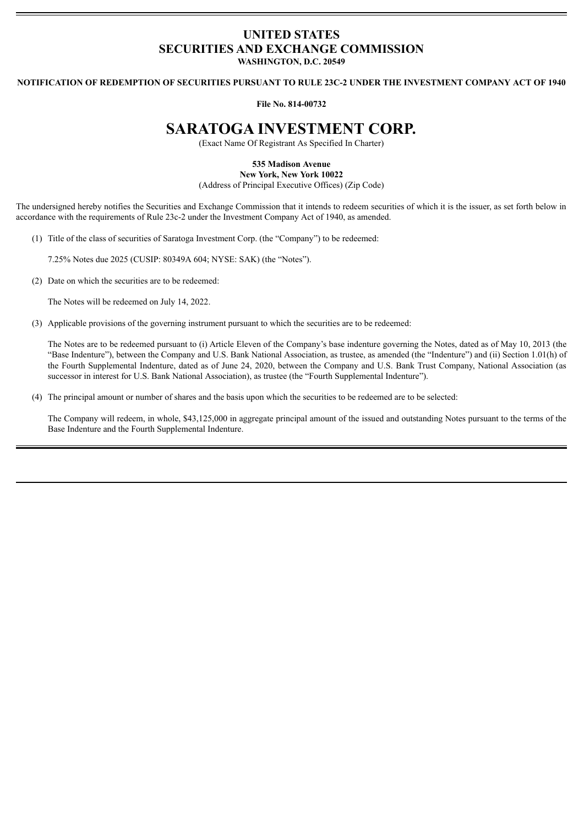## **UNITED STATES SECURITIES AND EXCHANGE COMMISSION WASHINGTON, D.C. 20549**

**NOTIFICATION OF REDEMPTION OF SECURITIES PURSUANT TO RULE 23C-2 UNDER THE INVESTMENT COMPANY ACT OF 1940**

**File No. 814-00732**

## **SARATOGA INVESTMENT CORP.**

(Exact Name Of Registrant As Specified In Charter)

**535 Madison Avenue**

**New York, New York 10022**

(Address of Principal Executive Offices) (Zip Code)

The undersigned hereby notifies the Securities and Exchange Commission that it intends to redeem securities of which it is the issuer, as set forth below in accordance with the requirements of Rule 23c-2 under the Investment Company Act of 1940, as amended.

(1) Title of the class of securities of Saratoga Investment Corp. (the "Company") to be redeemed:

7.25% Notes due 2025 (CUSIP: 80349A 604; NYSE: SAK) (the "Notes").

(2) Date on which the securities are to be redeemed:

The Notes will be redeemed on July 14, 2022.

(3) Applicable provisions of the governing instrument pursuant to which the securities are to be redeemed:

The Notes are to be redeemed pursuant to (i) Article Eleven of the Company's base indenture governing the Notes, dated as of May 10, 2013 (the "Base Indenture"), between the Company and U.S. Bank National Association, as trustee, as amended (the "Indenture") and (ii) Section 1.01(h) of the Fourth Supplemental Indenture, dated as of June 24, 2020, between the Company and U.S. Bank Trust Company, National Association (as successor in interest for U.S. Bank National Association), as trustee (the "Fourth Supplemental Indenture").

(4) The principal amount or number of shares and the basis upon which the securities to be redeemed are to be selected:

The Company will redeem, in whole, \$43,125,000 in aggregate principal amount of the issued and outstanding Notes pursuant to the terms of the Base Indenture and the Fourth Supplemental Indenture.